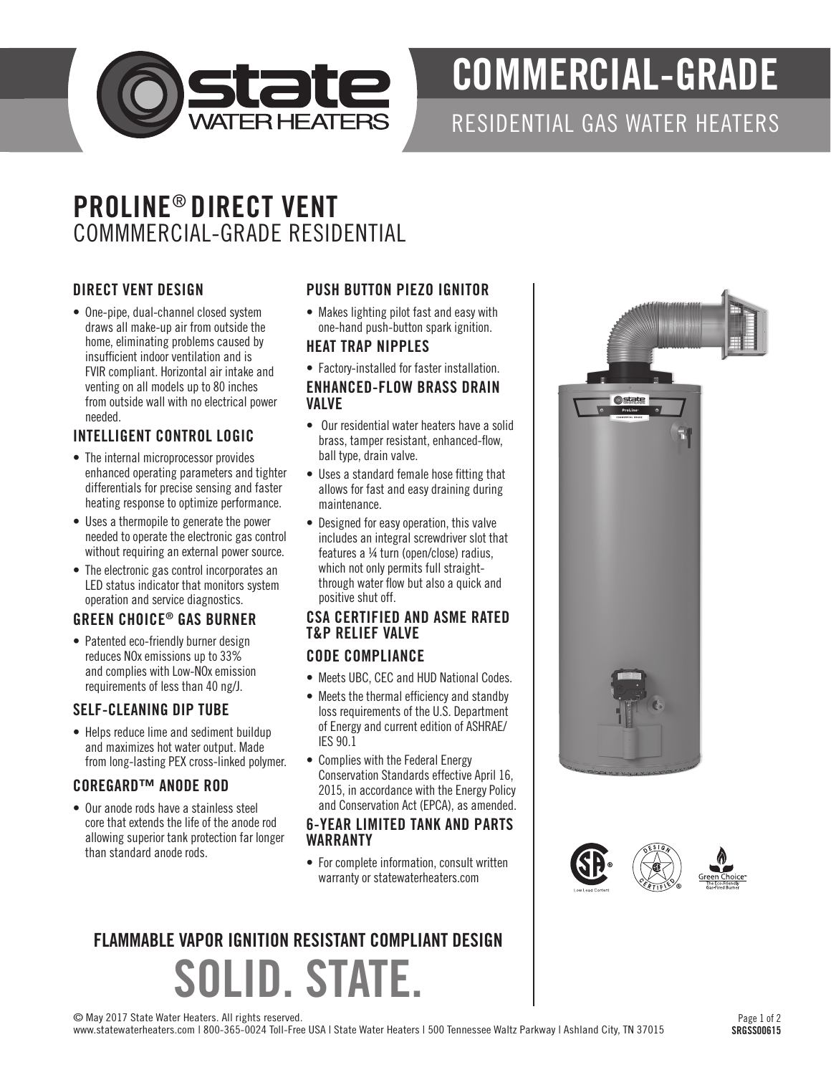

# COMMERCIAL-GRADE

### RESIDENTIAL GAS WATER HEATERS

## PROLINE® DIRECT VENT COMMMERCIAL-GRADE RESIDENTIAL

#### DIRECT VENT DESIGN

• One-pipe, dual-channel closed system draws all make-up air from outside the home, eliminating problems caused by insufficient indoor ventilation and is FVIR compliant. Horizontal air intake and venting on all models up to 80 inches from outside wall with no electrical power needed.

#### INTELLIGENT CONTROL LOGIC

- The internal microprocessor provides enhanced operating parameters and tighter differentials for precise sensing and faster heating response to optimize performance.
- Uses a thermopile to generate the power needed to operate the electronic gas control without requiring an external power source.
- The electronic gas control incorporates an LED status indicator that monitors system operation and service diagnostics.

#### GREEN CHOICE® GAS BURNER

• Patented eco-friendly burner design reduces NOx emissions up to 33% and complies with Low-NOx emission requirements of less than 40 ng/J.

#### SELF-CLEANING DIP TUBE

• Helps reduce lime and sediment buildup and maximizes hot water output. Made from long-lasting PEX cross-linked polymer.

#### COREGARD™ ANODE ROD

• Our anode rods have a stainless steel core that extends the life of the anode rod allowing superior tank protection far longer than standard anode rods.

#### PUSH BUTTON PIEZO IGNITOR

• Makes lighting pilot fast and easy with one-hand push-button spark ignition.

#### HEAT TRAP NIPPLES

• Factory-installed for faster installation.

#### ENHANCED-FLOW BRASS DRAIN VALVE

- Our residential water heaters have a solid brass, tamper resistant, enhanced-flow, ball type, drain valve.
- Uses a standard female hose fitting that allows for fast and easy draining during maintenance.
- Designed for easy operation, this valve includes an integral screwdriver slot that features a ¼ turn (open/close) radius, which not only permits full straightthrough water flow but also a quick and positive shut off.

#### CSA CERTIFIED AND ASME RATED T&P RELIEF VALVE

#### CODE COMPLIANCE

- Meets UBC, CEC and HUD National Codes.
- Meets the thermal efficiency and standby loss requirements of the U.S. Department of Energy and current edition of ASHRAE/ IES 90.1
- Complies with the Federal Energy Conservation Standards effective April 16, 2015, in accordance with the Energy Policy and Conservation Act (EPCA), as amended.

#### 6-YEAR LIMITED TANK AND PARTS WARRANTY

• For complete information, consult written warranty or statewaterheaters.com

## SOLID. STATE. FLAMMABLE VAPOR IGNITION RESISTANT COMPLIANT DESIGN





© May 2017 State Water Heaters. All rights reserved.

www.statewaterheaters.com | 800-365-0024 Toll-Free USA | State Water Heaters | 500 Tennessee Waltz Parkway | Ashland City, TN 37015